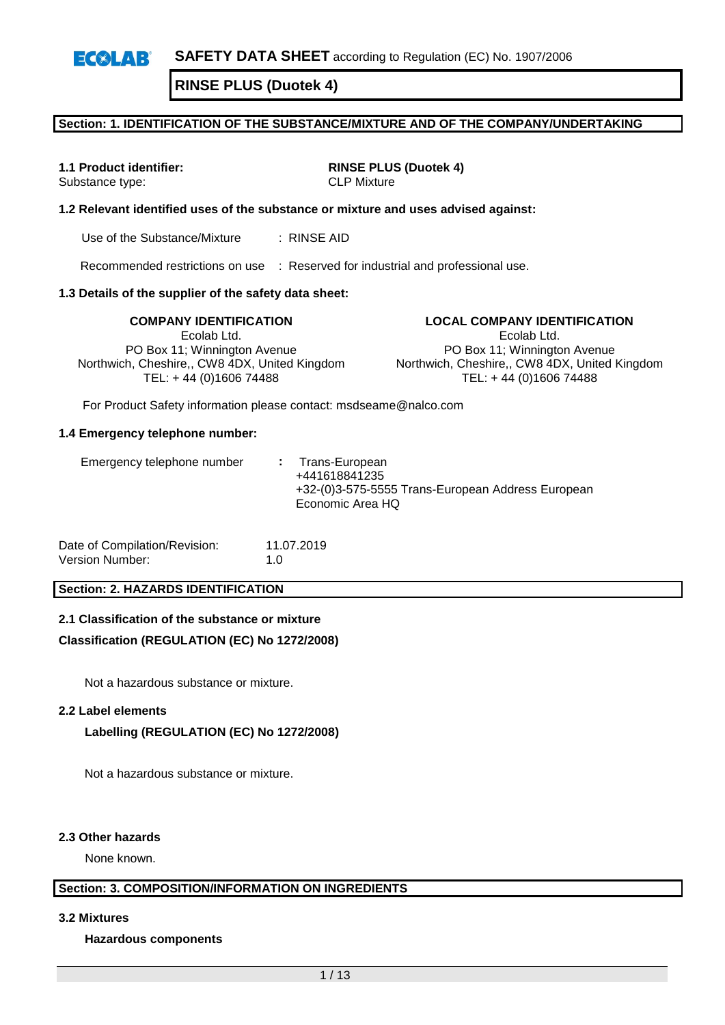## **Section: 1. IDENTIFICATION OF THE SUBSTANCE/MIXTURE AND OF THE COMPANY/UNDERTAKING**

Substance type: CLP Mixture

**1.1 Product identifier: RINSE PLUS (Duotek 4)**

### **1.2 Relevant identified uses of the substance or mixture and uses advised against:**

Use of the Substance/Mixture : RINSE AID

Recommended restrictions on use : Reserved for industrial and professional use.

### **1.3 Details of the supplier of the safety data sheet:**

Ecolab Ltd. PO Box 11; Winnington Avenue Northwich, Cheshire,, CW8 4DX, United Kingdom TEL: + 44 (0)1606 74488

**COMPANY IDENTIFICATION LOCAL COMPANY IDENTIFICATION** Ecolab Ltd. PO Box 11; Winnington Avenue Northwich, Cheshire,, CW8 4DX, United Kingdom TEL: + 44 (0)1606 74488

For Product Safety information please contact: msdseame@nalco.com

#### **1.4 Emergency telephone number:**

| Date of Compilation/Revision: | 11.07.2019  |
|-------------------------------|-------------|
| Version Number:               | 1. $\Omega$ |

## **Section: 2. HAZARDS IDENTIFICATION**

### **2.1 Classification of the substance or mixture**

### **Classification (REGULATION (EC) No 1272/2008)**

Not a hazardous substance or mixture.

#### **2.2 Label elements**

### **Labelling (REGULATION (EC) No 1272/2008)**

Not a hazardous substance or mixture.

#### **2.3 Other hazards**

None known.

## **Section: 3. COMPOSITION/INFORMATION ON INGREDIENTS**

**3.2 Mixtures**

#### **Hazardous components**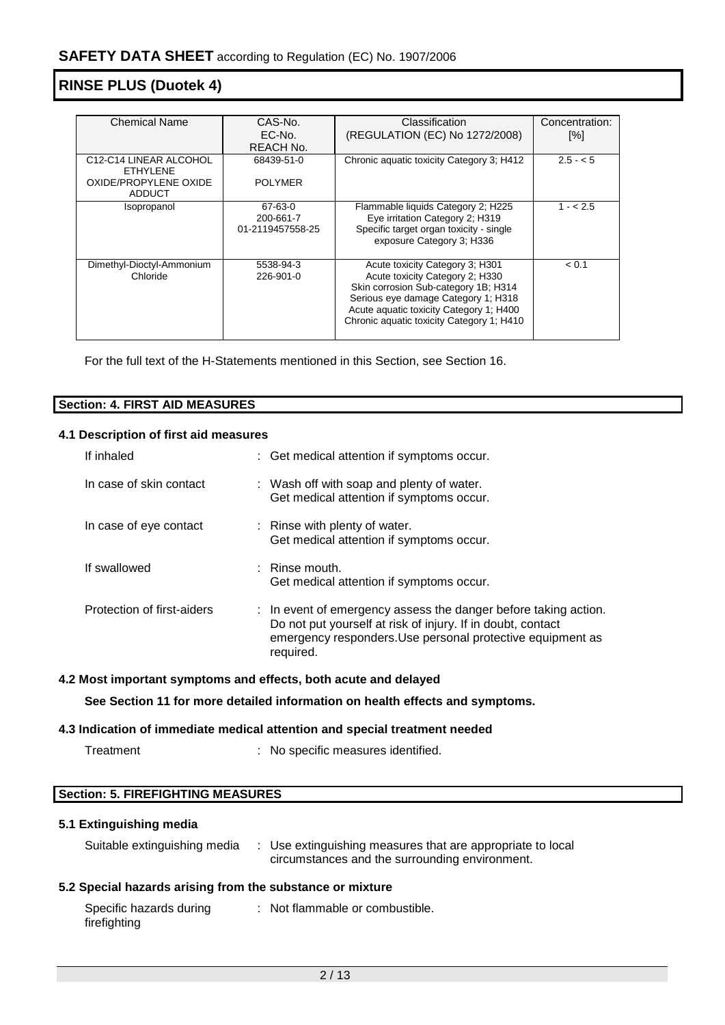| <b>Chemical Name</b>                                         | CAS-No.                                  | Classification                                                                                                                                                                                                                            | Concentration: |
|--------------------------------------------------------------|------------------------------------------|-------------------------------------------------------------------------------------------------------------------------------------------------------------------------------------------------------------------------------------------|----------------|
|                                                              | EC-No.                                   | (REGULATION (EC) No 1272/2008)                                                                                                                                                                                                            | [%]            |
|                                                              | REACH No.                                |                                                                                                                                                                                                                                           |                |
| C <sub>12</sub> -C <sub>14</sub> LINEAR ALCOHOL<br>FTHYI FNF | 68439-51-0                               | Chronic aquatic toxicity Category 3; H412                                                                                                                                                                                                 | $2.5 - 5$      |
| OXIDE/PROPYLENE OXIDE<br><b>ADDUCT</b>                       | <b>POLYMER</b>                           |                                                                                                                                                                                                                                           |                |
| Isopropanol                                                  | 67-63-0<br>200-661-7<br>01-2119457558-25 | Flammable liquids Category 2; H225<br>Eye irritation Category 2; H319<br>Specific target organ toxicity - single<br>exposure Category 3; H336                                                                                             | $1 - 2.5$      |
| Dimethyl-Dioctyl-Ammonium<br>Chloride                        | 5538-94-3<br>226-901-0                   | Acute toxicity Category 3; H301<br>Acute toxicity Category 2; H330<br>Skin corrosion Sub-category 1B; H314<br>Serious eye damage Category 1; H318<br>Acute aquatic toxicity Category 1; H400<br>Chronic aquatic toxicity Category 1; H410 | < 0.1          |

For the full text of the H-Statements mentioned in this Section, see Section 16.

| Section:<br><b>FIRST AID MEASURES</b> |  |
|---------------------------------------|--|
|                                       |  |

## **4.1 Description of first aid measures**

| If inhaled                 | : Get medical attention if symptoms occur.                                                                                                                                                                |
|----------------------------|-----------------------------------------------------------------------------------------------------------------------------------------------------------------------------------------------------------|
| In case of skin contact    | : Wash off with soap and plenty of water.<br>Get medical attention if symptoms occur.                                                                                                                     |
| In case of eye contact     | : Rinse with plenty of water.<br>Get medical attention if symptoms occur.                                                                                                                                 |
| If swallowed               | $\therefore$ Rinse mouth.<br>Get medical attention if symptoms occur.                                                                                                                                     |
| Protection of first-aiders | : In event of emergency assess the danger before taking action.<br>Do not put yourself at risk of injury. If in doubt, contact<br>emergency responders. Use personal protective equipment as<br>required. |

## **4.2 Most important symptoms and effects, both acute and delayed**

**See Section 11 for more detailed information on health effects and symptoms.**

#### **4.3 Indication of immediate medical attention and special treatment needed**

: No specific measures identified.

## **Section: 5. FIREFIGHTING MEASURES**

## **5.1 Extinguishing media**

| Suitable extinguishing media<br>Use extinguishing measures that are appropriate to local<br>circumstances and the surrounding environment. |  |
|--------------------------------------------------------------------------------------------------------------------------------------------|--|
|--------------------------------------------------------------------------------------------------------------------------------------------|--|

## **5.2 Special hazards arising from the substance or mixture**

| Specific hazards during | : Not flammable or combustible. |
|-------------------------|---------------------------------|
| firefighting            |                                 |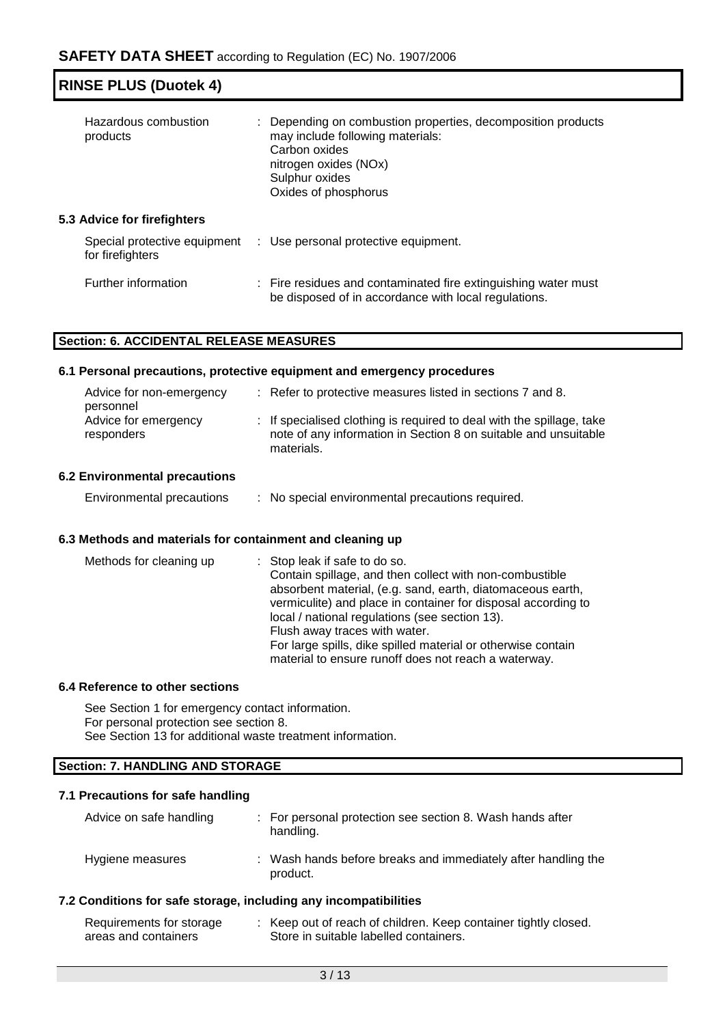| <b>RINSE PLUS (Duotek 4)</b> |  |
|------------------------------|--|
|------------------------------|--|

| Hazardous combustion<br>products                 | : Depending on combustion properties, decomposition products<br>may include following materials:<br>Carbon oxides<br>nitrogen oxides (NOx)<br>Sulphur oxides<br>Oxides of phosphorus |  |
|--------------------------------------------------|--------------------------------------------------------------------------------------------------------------------------------------------------------------------------------------|--|
| <b>5.3 Advice for firefighters</b>               |                                                                                                                                                                                      |  |
| Special protective equipment<br>for firefighters | : Use personal protective equipment.                                                                                                                                                 |  |
| Further information                              | : Fire residues and contaminated fire extinguishing water must<br>be disposed of in accordance with local regulations.                                                               |  |

## **Section: 6. ACCIDENTAL RELEASE MEASURES**

### **6.1 Personal precautions, protective equipment and emergency procedures**

| Advice for non-emergency<br>personnel | : Refer to protective measures listed in sections 7 and 8.                                                                                             |
|---------------------------------------|--------------------------------------------------------------------------------------------------------------------------------------------------------|
| Advice for emergency<br>responders    | : If specialised clothing is required to deal with the spillage, take<br>note of any information in Section 8 on suitable and unsuitable<br>materials. |

## **6.2 Environmental precautions**

| Environmental precautions |  | No special environmental precautions required. |  |
|---------------------------|--|------------------------------------------------|--|
|                           |  |                                                |  |

## **6.3 Methods and materials for containment and cleaning up**

| Methods for cleaning up | : Stop leak if safe to do so.<br>Contain spillage, and then collect with non-combustible<br>absorbent material, (e.g. sand, earth, diatomaceous earth,<br>vermiculite) and place in container for disposal according to<br>local / national regulations (see section 13).<br>Flush away traces with water.<br>For large spills, dike spilled material or otherwise contain<br>material to ensure runoff does not reach a waterway. |
|-------------------------|------------------------------------------------------------------------------------------------------------------------------------------------------------------------------------------------------------------------------------------------------------------------------------------------------------------------------------------------------------------------------------------------------------------------------------|
|-------------------------|------------------------------------------------------------------------------------------------------------------------------------------------------------------------------------------------------------------------------------------------------------------------------------------------------------------------------------------------------------------------------------------------------------------------------------|

## **6.4 Reference to other sections**

See Section 1 for emergency contact information. For personal protection see section 8. See Section 13 for additional waste treatment information.

## **Section: 7. HANDLING AND STORAGE**

## **7.1 Precautions for safe handling**

| Advice on safe handling | : For personal protection see section 8. Wash hands after<br>handling.    |
|-------------------------|---------------------------------------------------------------------------|
| Hygiene measures        | : Wash hands before breaks and immediately after handling the<br>product. |

## **7.2 Conditions for safe storage, including any incompatibilities**

| Requirements for storage |                                        | Keep out of reach of children. Keep container tightly closed. |
|--------------------------|----------------------------------------|---------------------------------------------------------------|
| areas and containers     | Store in suitable labelled containers. |                                                               |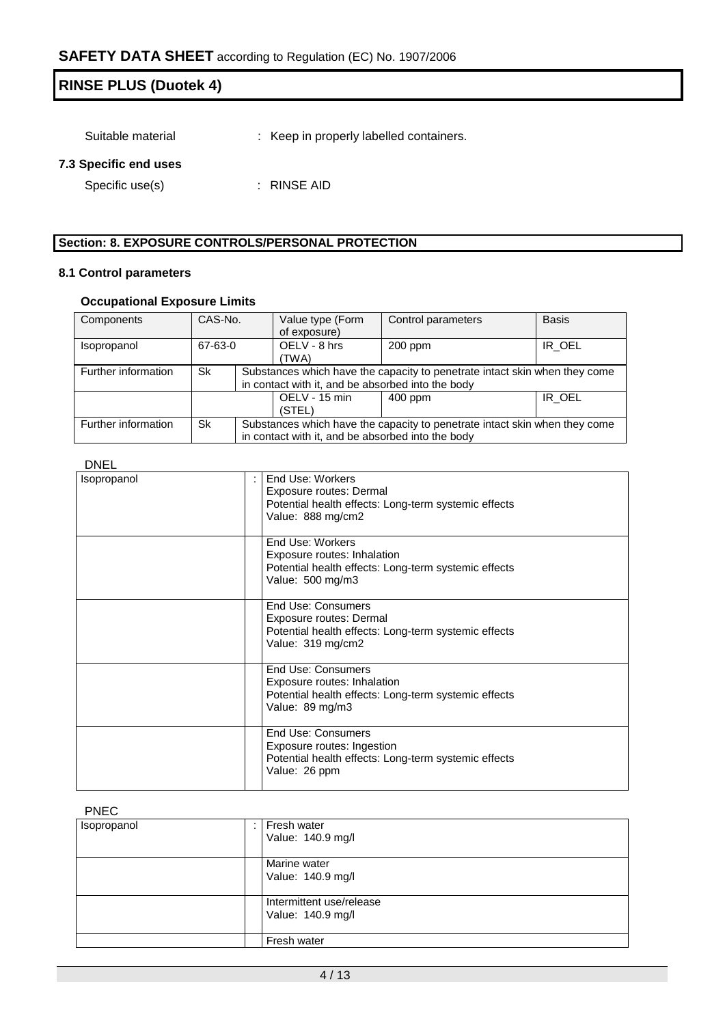Suitable material : Keep in properly labelled containers.

## **7.3 Specific end uses**

Specific use(s) : RINSE AID

## **Section: 8. EXPOSURE CONTROLS/PERSONAL PROTECTION**

## **8.1 Control parameters**

## **Occupational Exposure Limits**

| Components          | CAS-No. |                                                                            | Value type (Form                                                           | Control parameters | <b>Basis</b> |  |  |
|---------------------|---------|----------------------------------------------------------------------------|----------------------------------------------------------------------------|--------------------|--------------|--|--|
|                     |         |                                                                            |                                                                            |                    |              |  |  |
|                     |         |                                                                            | of exposure)                                                               |                    |              |  |  |
| <i>Isopropanol</i>  | 67-63-0 |                                                                            | OELV - 8 hrs                                                               | $200$ ppm          | IR OEL       |  |  |
|                     |         |                                                                            |                                                                            |                    |              |  |  |
|                     |         |                                                                            | (TWA)                                                                      |                    |              |  |  |
| Further information | Sk      |                                                                            | Substances which have the capacity to penetrate intact skin when they come |                    |              |  |  |
|                     |         |                                                                            |                                                                            |                    |              |  |  |
|                     |         |                                                                            | in contact with it, and be absorbed into the body                          |                    |              |  |  |
|                     |         |                                                                            | OELV - 15 min                                                              | $400$ ppm          | IR_OEL       |  |  |
|                     |         |                                                                            |                                                                            |                    |              |  |  |
|                     |         |                                                                            | (STEL)                                                                     |                    |              |  |  |
| Further information | Sk      | Substances which have the capacity to penetrate intact skin when they come |                                                                            |                    |              |  |  |
|                     |         |                                                                            |                                                                            |                    |              |  |  |
|                     |         | in contact with it, and be absorbed into the body                          |                                                                            |                    |              |  |  |

### DNEL

| <b>Isopropanol</b> | End Use: Workers<br>Exposure routes: Dermal<br>Potential health effects: Long-term systemic effects<br>Value: 888 mg/cm2         |
|--------------------|----------------------------------------------------------------------------------------------------------------------------------|
|                    | End Use: Workers<br>Exposure routes: Inhalation<br>Potential health effects: Long-term systemic effects<br>Value: 500 mg/m3      |
|                    | End Use: Consumers<br>Exposure routes: Dermal<br>Potential health effects: Long-term systemic effects<br>Value: 319 mg/cm2       |
|                    | End Use: Consumers<br>Exposure routes: Inhalation<br>Potential health effects: Long-term systemic effects<br>Value: 89 mg/m3     |
|                    | <b>End Use: Consumers</b><br>Exposure routes: Ingestion<br>Potential health effects: Long-term systemic effects<br>Value: 26 ppm |

### PNEC

| Isopropanol | Fresh water<br>Value: 140.9 mg/l              |
|-------------|-----------------------------------------------|
|             | Marine water<br>Value: 140.9 mg/l             |
|             | Intermittent use/release<br>Value: 140.9 mg/l |
|             | Fresh water                                   |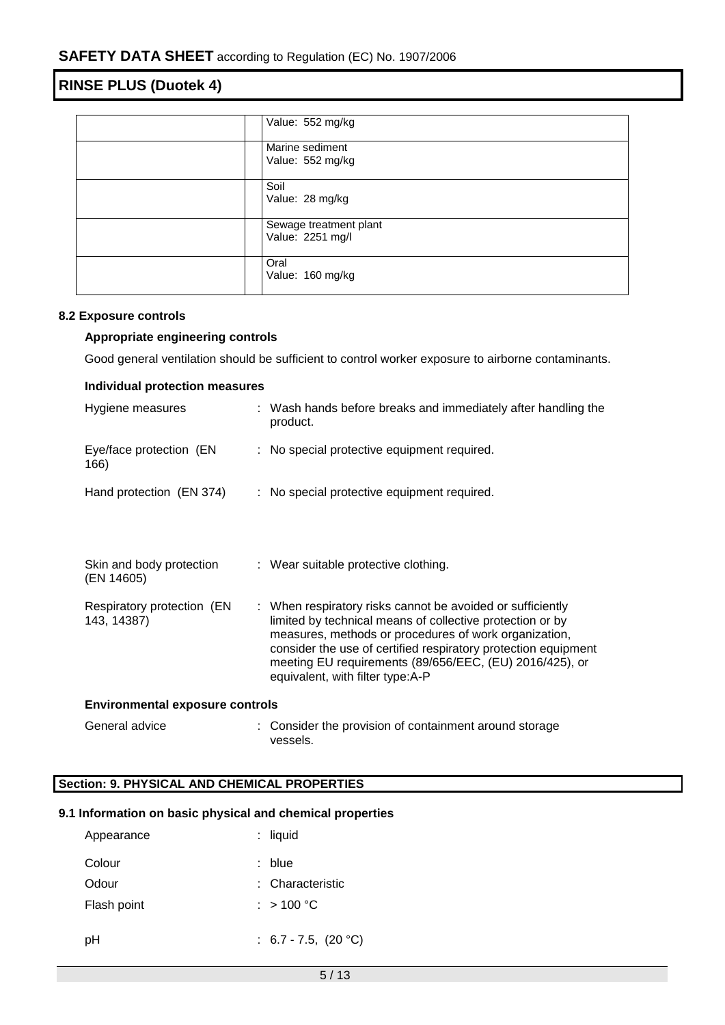| Value: 552 mg/kg       |
|------------------------|
| Marine sediment        |
| Value: 552 mg/kg       |
| Soil                   |
| Value: 28 mg/kg        |
| Sewage treatment plant |
| Value: 2251 mg/l       |
| Oral                   |
| Value: 160 mg/kg       |
|                        |

## **8.2 Exposure controls**

## **Appropriate engineering controls**

Good general ventilation should be sufficient to control worker exposure to airborne contaminants.

| <b>Individual protection measures</b>     |  |                                                                                                                                                                                                                                                                                                                                                   |  |  |
|-------------------------------------------|--|---------------------------------------------------------------------------------------------------------------------------------------------------------------------------------------------------------------------------------------------------------------------------------------------------------------------------------------------------|--|--|
| Hygiene measures                          |  | : Wash hands before breaks and immediately after handling the<br>product.                                                                                                                                                                                                                                                                         |  |  |
| Eye/face protection (EN<br>166)           |  | : No special protective equipment required.                                                                                                                                                                                                                                                                                                       |  |  |
| Hand protection (EN 374)                  |  | : No special protective equipment required.                                                                                                                                                                                                                                                                                                       |  |  |
|                                           |  |                                                                                                                                                                                                                                                                                                                                                   |  |  |
| Skin and body protection<br>(EN 14605)    |  | : Wear suitable protective clothing.                                                                                                                                                                                                                                                                                                              |  |  |
| Respiratory protection (EN<br>143, 14387) |  | : When respiratory risks cannot be avoided or sufficiently<br>limited by technical means of collective protection or by<br>measures, methods or procedures of work organization,<br>consider the use of certified respiratory protection equipment<br>meeting EU requirements (89/656/EEC, (EU) 2016/425), or<br>equivalent, with filter type:A-P |  |  |
| <b>Environmental exposure controls</b>    |  |                                                                                                                                                                                                                                                                                                                                                   |  |  |
| General advice                            |  | Consider the provision of containment around storage                                                                                                                                                                                                                                                                                              |  |  |

## **Section: 9. PHYSICAL AND CHEMICAL PROPERTIES**

## **9.1 Information on basic physical and chemical properties**

vessels.

| Appearance  | : liquid                  |
|-------------|---------------------------|
| Colour      | : blue                    |
| Odour       | : Characteristic          |
| Flash point | : $>100 °C$               |
|             |                           |
| рH          | : $6.7 - 7.5$ , $(20 °C)$ |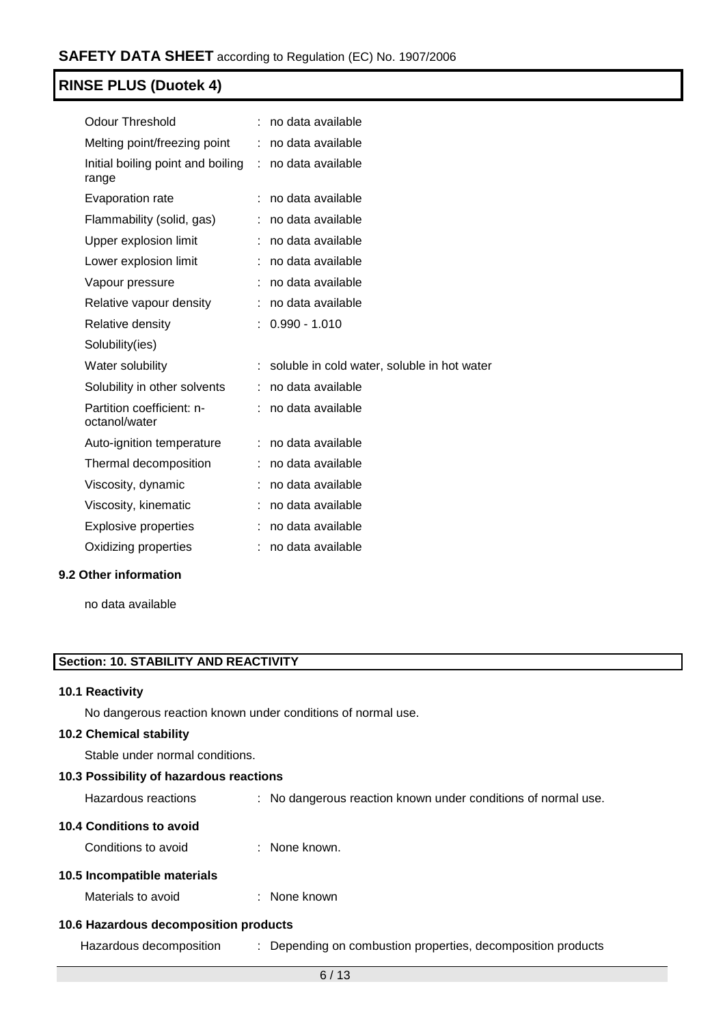| <b>Odour Threshold</b>                     |    | no data available                           |
|--------------------------------------------|----|---------------------------------------------|
| Melting point/freezing point               |    | no data available                           |
| Initial boiling point and boiling<br>range | t. | no data available                           |
| Evaporation rate                           |    | no data available                           |
| Flammability (solid, gas)                  |    | no data available                           |
| Upper explosion limit                      |    | no data available                           |
| Lower explosion limit                      | ÷  | no data available                           |
| Vapour pressure                            |    | no data available                           |
| Relative vapour density                    |    | no data available                           |
| Relative density                           |    | $0.990 - 1.010$                             |
| Solubility(ies)                            |    |                                             |
| Water solubility                           |    | soluble in cold water, soluble in hot water |
| Solubility in other solvents               |    | no data available                           |
| Partition coefficient: n-<br>octanol/water |    | no data available                           |
| Auto-ignition temperature                  |    | no data available                           |
| Thermal decomposition                      | t. | no data available                           |
| Viscosity, dynamic                         |    | no data available                           |
| Viscosity, kinematic                       |    | no data available                           |
| <b>Explosive properties</b>                |    | no data available                           |
| Oxidizing properties                       |    | no data available                           |
|                                            |    |                                             |

## **9.2 Other information**

no data available

## **Section: 10. STABILITY AND REACTIVITY**

## **10.1 Reactivity**

No dangerous reaction known under conditions of normal use.

### **10.2 Chemical stability**

Stable under normal conditions.

## **10.3 Possibility of hazardous reactions**

| Hazardous reactions |  | No dangerous reaction known under conditions of normal use. |  |  |  |  |  |
|---------------------|--|-------------------------------------------------------------|--|--|--|--|--|
|---------------------|--|-------------------------------------------------------------|--|--|--|--|--|

### **10.4 Conditions to avoid**

Conditions to avoid : None known.

## **10.5 Incompatible materials**

Materials to avoid : None known

## **10.6 Hazardous decomposition products**

Hazardous decomposition : Depending on combustion properties, decomposition products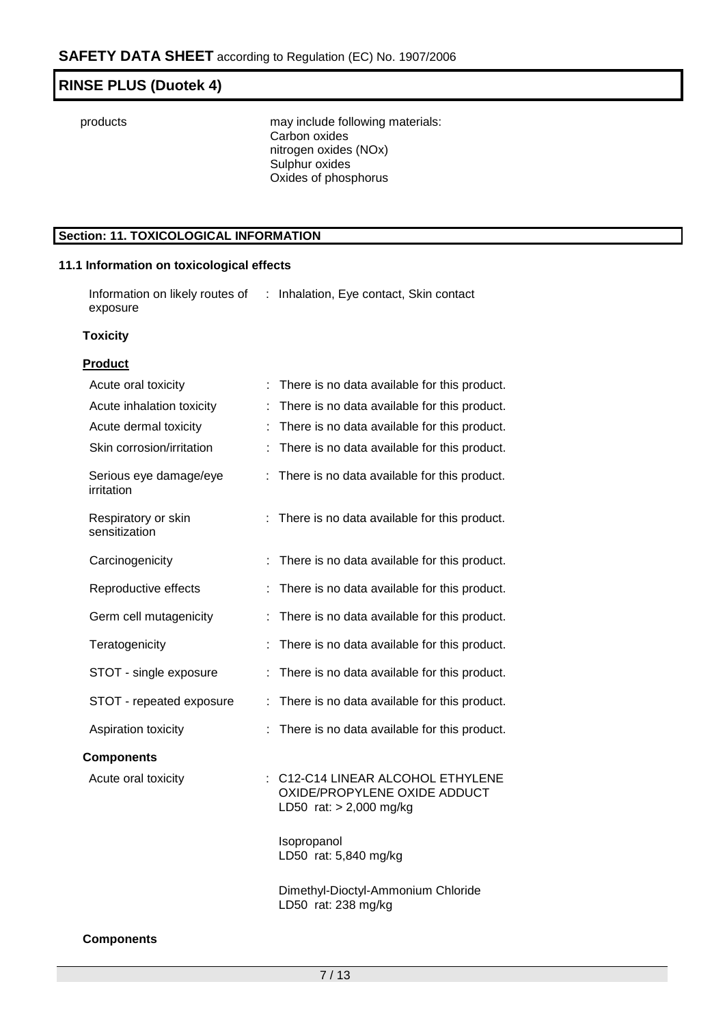products may include following materials: Carbon oxides nitrogen oxides (NOx) Sulphur oxides Oxides of phosphorus

## **Section: 11. TOXICOLOGICAL INFORMATION**

## **11.1 Information on toxicological effects**

Information on likely routes of : Inhalation, Eye contact, Skin contact exposure

### **Toxicity**

## **Product**

| Acute oral toxicity                  | There is no data available for this product.                                                 |
|--------------------------------------|----------------------------------------------------------------------------------------------|
| Acute inhalation toxicity            | There is no data available for this product.<br>t.                                           |
| Acute dermal toxicity                | There is no data available for this product.                                                 |
| Skin corrosion/irritation            | There is no data available for this product.                                                 |
| Serious eye damage/eye<br>irritation | There is no data available for this product.<br>t.                                           |
| Respiratory or skin<br>sensitization | There is no data available for this product.                                                 |
| Carcinogenicity                      | There is no data available for this product.                                                 |
| Reproductive effects                 | There is no data available for this product.                                                 |
| Germ cell mutagenicity               | There is no data available for this product.                                                 |
| Teratogenicity                       | There is no data available for this product.                                                 |
| STOT - single exposure               | There is no data available for this product.                                                 |
| STOT - repeated exposure             | There is no data available for this product.<br>t.                                           |
| Aspiration toxicity                  | There is no data available for this product.                                                 |
| <b>Components</b>                    |                                                                                              |
| Acute oral toxicity                  | C12-C14 LINEAR ALCOHOL ETHYLENE<br>OXIDE/PROPYLENE OXIDE ADDUCT<br>LD50 rat: $> 2,000$ mg/kg |
|                                      | Isopropanol<br>LD50 rat: 5,840 mg/kg                                                         |
|                                      | Dimethyl-Dioctyl-Ammonium Chloride<br>LD50 rat: 238 mg/kg                                    |

## **Components**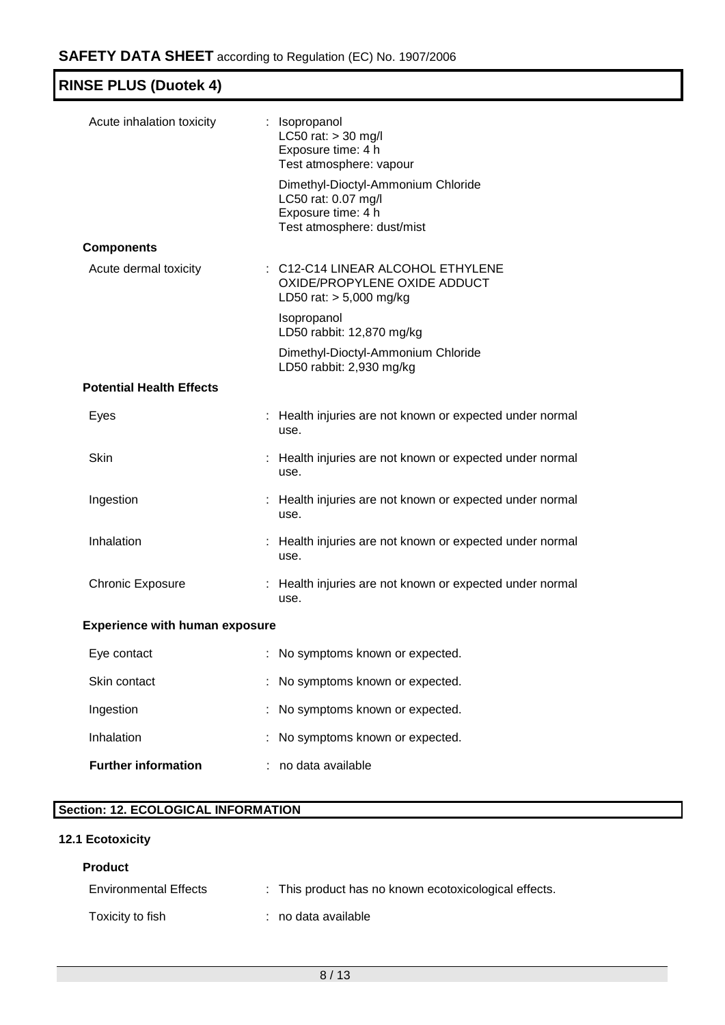| <b>RINSE PLUS (Duotek 4)</b>          |                                                                                                               |
|---------------------------------------|---------------------------------------------------------------------------------------------------------------|
| Acute inhalation toxicity             | : Isopropanol<br>LC50 rat: > 30 mg/l<br>Exposure time: 4 h<br>Test atmosphere: vapour                         |
|                                       | Dimethyl-Dioctyl-Ammonium Chloride<br>LC50 rat: 0.07 mg/l<br>Exposure time: 4 h<br>Test atmosphere: dust/mist |
| <b>Components</b>                     |                                                                                                               |
| Acute dermal toxicity                 | : C12-C14 LINEAR ALCOHOL ETHYLENE<br>OXIDE/PROPYLENE OXIDE ADDUCT<br>LD50 rat: $> 5,000$ mg/kg                |
|                                       | Isopropanol<br>LD50 rabbit: 12,870 mg/kg                                                                      |
|                                       | Dimethyl-Dioctyl-Ammonium Chloride<br>LD50 rabbit: 2,930 mg/kg                                                |
| <b>Potential Health Effects</b>       |                                                                                                               |
| Eyes                                  | : Health injuries are not known or expected under normal<br>use.                                              |
| Skin                                  | : Health injuries are not known or expected under normal<br>use.                                              |
| Ingestion                             | : Health injuries are not known or expected under normal<br>use.                                              |
| Inhalation                            | : Health injuries are not known or expected under normal<br>use.                                              |
| <b>Chronic Exposure</b>               | : Health injuries are not known or expected under normal<br>use.                                              |
| <b>Experience with human exposure</b> |                                                                                                               |
| Eye contact                           | : No symptoms known or expected.                                                                              |
| Clin contact                          | No oumntame known or expected                                                                                 |

| <b>Further information</b> | no data available                |
|----------------------------|----------------------------------|
| Inhalation                 | : No symptoms known or expected. |
| Ingestion                  | : No symptoms known or expected. |
| Skin contact               | : No symptoms known or expected. |

# **Section: 12. ECOLOGICAL INFORMATION**

# **12.1 Ecotoxicity**

## **Product**

| <b>Environmental Effects</b> | : This product has no known ecotoxicological effects. |
|------------------------------|-------------------------------------------------------|
| Toxicity to fish             | : no data available                                   |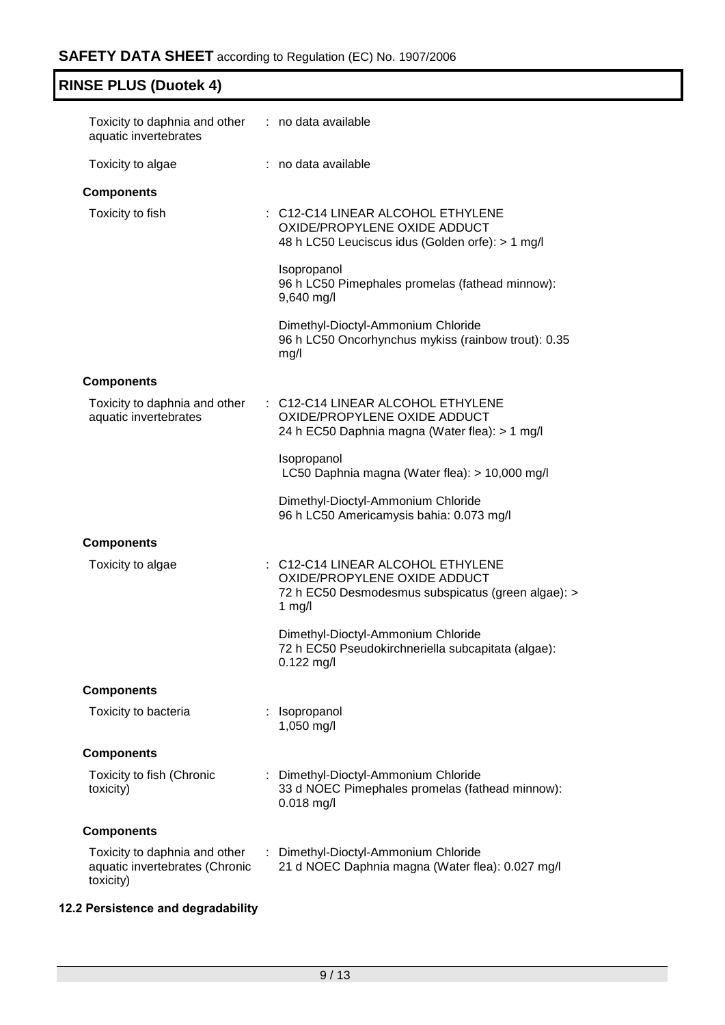| Toxicity to daphnia and other : no data available<br>aquatic invertebrates   |                                                                                                                                     |
|------------------------------------------------------------------------------|-------------------------------------------------------------------------------------------------------------------------------------|
| Toxicity to algae                                                            | : no data available                                                                                                                 |
| <b>Components</b>                                                            |                                                                                                                                     |
| Toxicity to fish                                                             | : C12-C14 LINEAR ALCOHOL ETHYLENE<br>OXIDE/PROPYLENE OXIDE ADDUCT<br>48 h LC50 Leuciscus idus (Golden orfe): > 1 mg/l               |
|                                                                              | Isopropanol<br>96 h LC50 Pimephales promelas (fathead minnow):<br>9,640 mg/l                                                        |
|                                                                              | Dimethyl-Dioctyl-Ammonium Chloride<br>96 h LC50 Oncorhynchus mykiss (rainbow trout): 0.35<br>mg/l                                   |
| <b>Components</b>                                                            |                                                                                                                                     |
| Toxicity to daphnia and other<br>aquatic invertebrates                       | : C12-C14 LINEAR ALCOHOL ETHYLENE<br>OXIDE/PROPYLENE OXIDE ADDUCT<br>24 h EC50 Daphnia magna (Water flea): > 1 mg/l                 |
|                                                                              | Isopropanol<br>LC50 Daphnia magna (Water flea): > 10,000 mg/l                                                                       |
|                                                                              | Dimethyl-Dioctyl-Ammonium Chloride<br>96 h LC50 Americamysis bahia: 0.073 mg/l                                                      |
| <b>Components</b>                                                            |                                                                                                                                     |
| Toxicity to algae                                                            | : C12-C14 LINEAR ALCOHOL ETHYLENE<br>OXIDE/PROPYLENE OXIDE ADDUCT<br>72 h EC50 Desmodesmus subspicatus (green algae): ><br>1 $mg/l$ |
|                                                                              | Dimethyl-Dioctyl-Ammonium Chloride<br>72 h EC50 Pseudokirchneriella subcapitata (algae):<br>0.122 mg/l                              |
| <b>Components</b>                                                            |                                                                                                                                     |
| Toxicity to bacteria                                                         | Isopropanol<br>1,050 mg/l                                                                                                           |
| <b>Components</b>                                                            |                                                                                                                                     |
| Toxicity to fish (Chronic<br>toxicity)                                       | : Dimethyl-Dioctyl-Ammonium Chloride<br>33 d NOEC Pimephales promelas (fathead minnow):<br>$0.018$ mg/l                             |
| <b>Components</b>                                                            |                                                                                                                                     |
| Toxicity to daphnia and other<br>aquatic invertebrates (Chronic<br>toxicity) | Dimethyl-Dioctyl-Ammonium Chloride<br>t.<br>21 d NOEC Daphnia magna (Water flea): 0.027 mg/l                                        |

# **12.2 Persistence and degradability**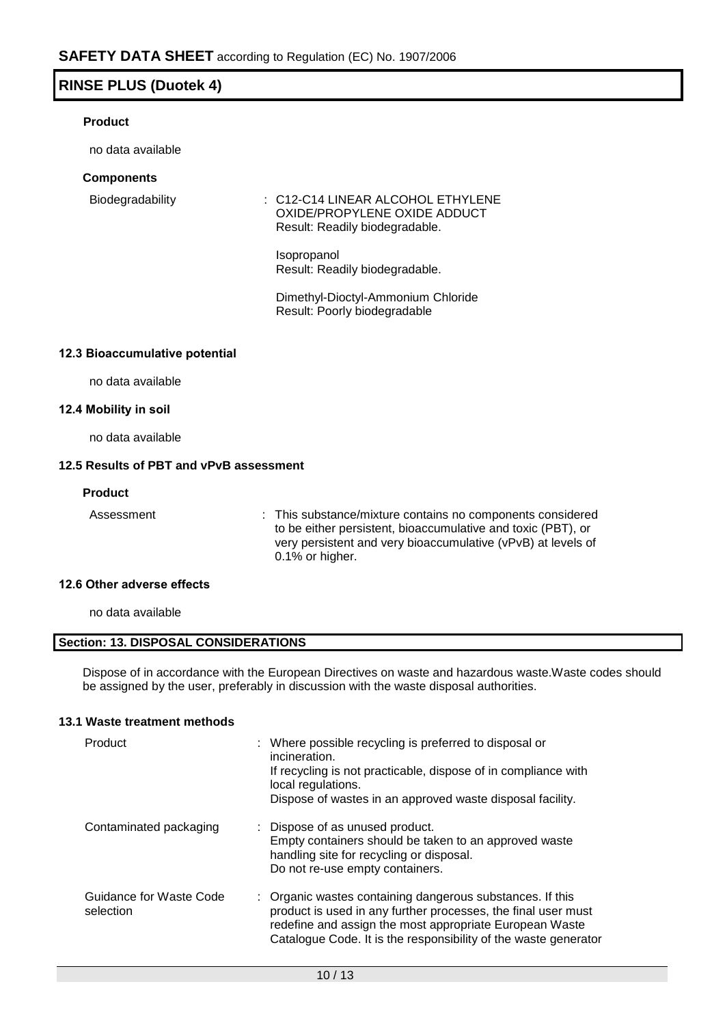## **Product**

no data available

## **Components**

Biodegradability : C12-C14 LINEAR ALCOHOL ETHYLENE OXIDE/PROPYLENE OXIDE ADDUCT Result: Readily biodegradable.

> Isopropanol Result: Readily biodegradable.

Dimethyl-Dioctyl-Ammonium Chloride Result: Poorly biodegradable

## **12.3 Bioaccumulative potential**

no data available

## **12.4 Mobility in soil**

no data available

## **12.5 Results of PBT and vPvB assessment**

#### **Product**

Assessment : This substance/mixture contains no components considered to be either persistent, bioaccumulative and toxic (PBT), or very persistent and very bioaccumulative (vPvB) at levels of 0.1% or higher.

### **12.6 Other adverse effects**

no data available

## **Section: 13. DISPOSAL CONSIDERATIONS**

Dispose of in accordance with the European Directives on waste and hazardous waste.Waste codes should be assigned by the user, preferably in discussion with the waste disposal authorities.

### **13.1 Waste treatment methods**

| Product                              | : Where possible recycling is preferred to disposal or<br>incineration.<br>If recycling is not practicable, dispose of in compliance with<br>local regulations.<br>Dispose of wastes in an approved waste disposal facility.                             |
|--------------------------------------|----------------------------------------------------------------------------------------------------------------------------------------------------------------------------------------------------------------------------------------------------------|
| Contaminated packaging               | : Dispose of as unused product.<br>Empty containers should be taken to an approved waste<br>handling site for recycling or disposal.<br>Do not re-use empty containers.                                                                                  |
| Guidance for Waste Code<br>selection | : Organic wastes containing dangerous substances. If this<br>product is used in any further processes, the final user must<br>redefine and assign the most appropriate European Waste<br>Catalogue Code. It is the responsibility of the waste generator |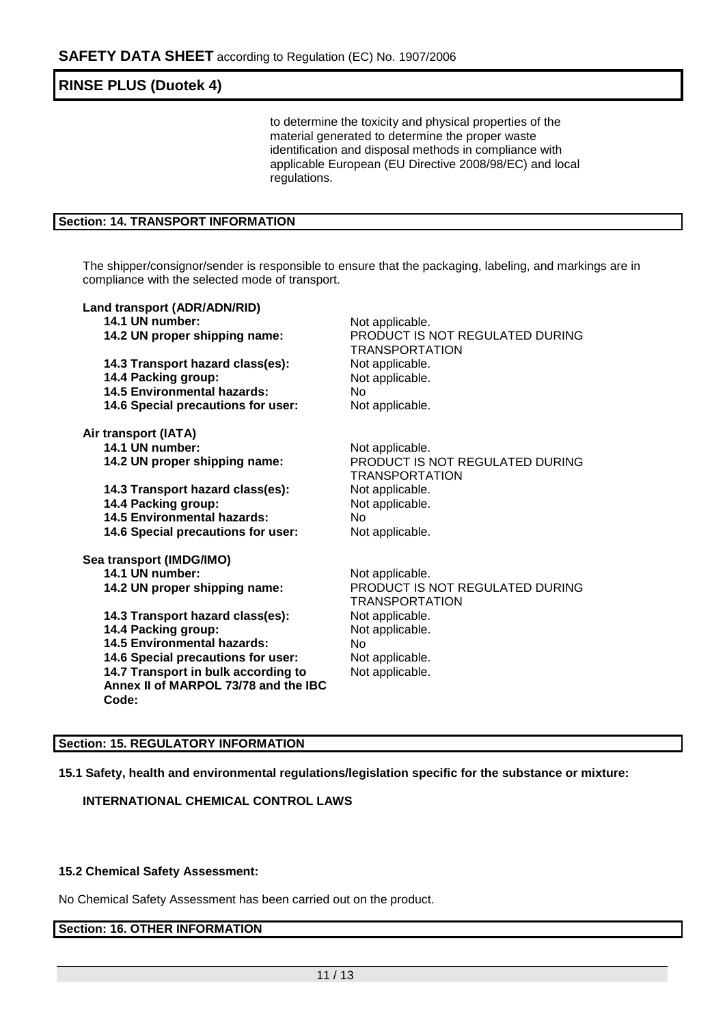to determine the toxicity and physical properties of the material generated to determine the proper waste identification and disposal methods in compliance with applicable European (EU Directive 2008/98/EC) and local regulations.

## **Section: 14. TRANSPORT INFORMATION**

The shipper/consignor/sender is responsible to ensure that the packaging, labeling, and markings are in compliance with the selected mode of transport.

| Land transport (ADR/ADN/RID)         |                                                          |
|--------------------------------------|----------------------------------------------------------|
| 14.1 UN number:                      | Not applicable.                                          |
| 14.2 UN proper shipping name:        | PRODUCT IS NOT REGULATED DURING<br><b>TRANSPORTATION</b> |
| 14.3 Transport hazard class(es):     | Not applicable.                                          |
| 14.4 Packing group:                  | Not applicable.                                          |
| <b>14.5 Environmental hazards:</b>   | No                                                       |
| 14.6 Special precautions for user:   | Not applicable.                                          |
| Air transport (IATA)                 |                                                          |
| 14.1 UN number:                      | Not applicable.                                          |
| 14.2 UN proper shipping name:        | PRODUCT IS NOT REGULATED DURING<br><b>TRANSPORTATION</b> |
| 14.3 Transport hazard class(es):     | Not applicable.                                          |
| 14.4 Packing group:                  | Not applicable.                                          |
| <b>14.5 Environmental hazards:</b>   | <b>No</b>                                                |
| 14.6 Special precautions for user:   | Not applicable.                                          |
| Sea transport (IMDG/IMO)             |                                                          |
| 14.1 UN number:                      | Not applicable.                                          |
| 14.2 UN proper shipping name:        | PRODUCT IS NOT REGULATED DURING<br><b>TRANSPORTATION</b> |
| 14.3 Transport hazard class(es):     | Not applicable.                                          |
| 14.4 Packing group:                  | Not applicable.                                          |
| <b>14.5 Environmental hazards:</b>   | No.                                                      |
| 14.6 Special precautions for user:   | Not applicable.                                          |
| 14.7 Transport in bulk according to  | Not applicable.                                          |
| Annex II of MARPOL 73/78 and the IBC |                                                          |
| Code:                                |                                                          |
|                                      |                                                          |

## **Section: 15. REGULATORY INFORMATION**

**15.1 Safety, health and environmental regulations/legislation specific for the substance or mixture:**

**INTERNATIONAL CHEMICAL CONTROL LAWS**

### **15.2 Chemical Safety Assessment:**

No Chemical Safety Assessment has been carried out on the product.

## **Section: 16. OTHER INFORMATION**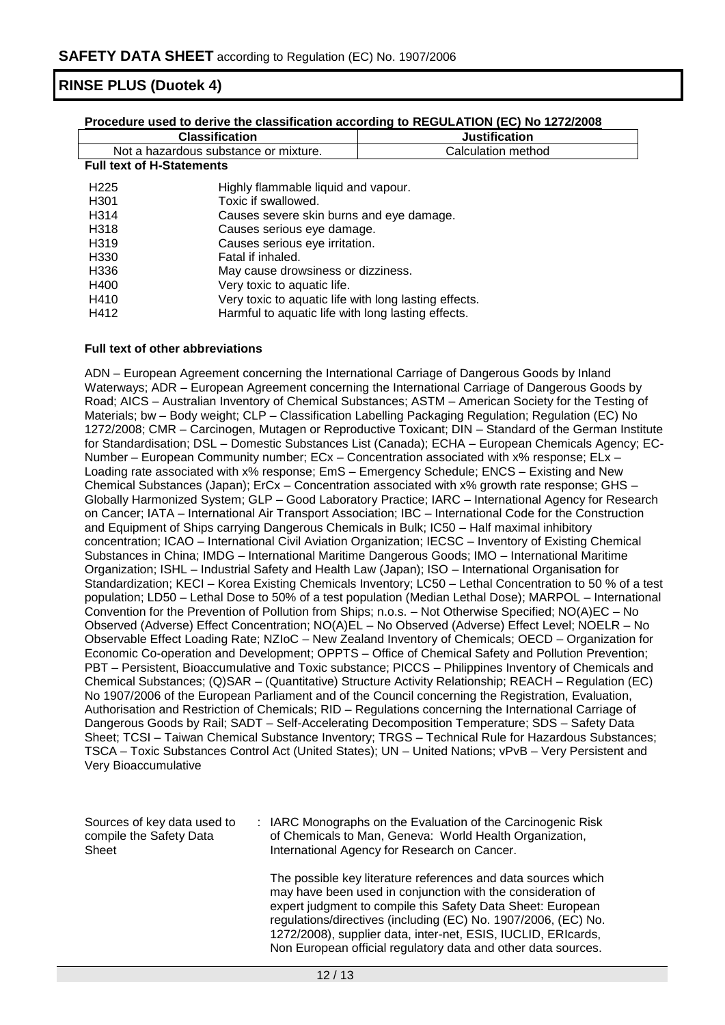| <u>Procedure used to derive the classification according to REGULATION (EC) No 1272/2008</u> |                                                       |                      |  |
|----------------------------------------------------------------------------------------------|-------------------------------------------------------|----------------------|--|
| <b>Classification</b>                                                                        |                                                       | <b>Justification</b> |  |
| Not a hazardous substance or mixture.                                                        |                                                       | Calculation method   |  |
| <b>Full text of H-Statements</b>                                                             |                                                       |                      |  |
| H <sub>225</sub>                                                                             | Highly flammable liquid and vapour.                   |                      |  |
| H <sub>301</sub>                                                                             | Toxic if swallowed.                                   |                      |  |
| H314                                                                                         | Causes severe skin burns and eye damage.              |                      |  |
| H318                                                                                         | Causes serious eye damage.                            |                      |  |
| H <sub>3</sub> 19                                                                            | Causes serious eye irritation.                        |                      |  |
| H330                                                                                         | Fatal if inhaled.                                     |                      |  |
| H336                                                                                         | May cause drowsiness or dizziness.                    |                      |  |
| H400                                                                                         | Very toxic to aquatic life.                           |                      |  |
| H410                                                                                         | Very toxic to aquatic life with long lasting effects. |                      |  |
| H412                                                                                         | Harmful to aquatic life with long lasting effects.    |                      |  |

## **Full text of other abbreviations**

ADN – European Agreement concerning the International Carriage of Dangerous Goods by Inland Waterways; ADR – European Agreement concerning the International Carriage of Dangerous Goods by Road; AICS – Australian Inventory of Chemical Substances; ASTM – American Society for the Testing of Materials; bw - Body weight; CLP - Classification Labelling Packaging Regulation; Regulation (EC) No 1272/2008; CMR – Carcinogen, Mutagen or Reproductive Toxicant; DIN – Standard of the German Institute for Standardisation; DSL – Domestic Substances List (Canada); ECHA – European Chemicals Agency; EC-Number – European Community number; ECx – Concentration associated with x% response; ELx – Loading rate associated with x% response; EmS – Emergency Schedule; ENCS – Existing and New Chemical Substances (Japan); ErCx – Concentration associated with x% growth rate response; GHS – Globally Harmonized System; GLP – Good Laboratory Practice; IARC – International Agency for Research on Cancer; IATA – International Air Transport Association; IBC – International Code for the Construction and Equipment of Ships carrying Dangerous Chemicals in Bulk; IC50 – Half maximal inhibitory concentration; ICAO – International Civil Aviation Organization; IECSC – Inventory of Existing Chemical Substances in China; IMDG – International Maritime Dangerous Goods; IMO – International Maritime Organization; ISHL – Industrial Safety and Health Law (Japan); ISO – International Organisation for Standardization; KECI – Korea Existing Chemicals Inventory; LC50 – Lethal Concentration to 50 % of a test population; LD50 – Lethal Dose to 50% of a test population (Median Lethal Dose); MARPOL – International Convention for the Prevention of Pollution from Ships; n.o.s. – Not Otherwise Specified; NO(A)EC – No Observed (Adverse) Effect Concentration; NO(A)EL – No Observed (Adverse) Effect Level; NOELR – No Observable Effect Loading Rate; NZIoC – New Zealand Inventory of Chemicals; OECD – Organization for Economic Co-operation and Development; OPPTS – Office of Chemical Safety and Pollution Prevention; PBT – Persistent, Bioaccumulative and Toxic substance; PICCS – Philippines Inventory of Chemicals and Chemical Substances; (Q)SAR – (Quantitative) Structure Activity Relationship; REACH – Regulation (EC) No 1907/2006 of the European Parliament and of the Council concerning the Registration, Evaluation, Authorisation and Restriction of Chemicals; RID – Regulations concerning the International Carriage of Dangerous Goods by Rail; SADT – Self-Accelerating Decomposition Temperature; SDS – Safety Data Sheet; TCSI – Taiwan Chemical Substance Inventory; TRGS – Technical Rule for Hazardous Substances; TSCA – Toxic Substances Control Act (United States); UN – United Nations; vPvB – Very Persistent and Very Bioaccumulative

| Sources of key data used to<br>compile the Safety Data<br>Sheet | : IARC Monographs on the Evaluation of the Carcinogenic Risk<br>of Chemicals to Man, Geneva: World Health Organization,<br>International Agency for Research on Cancer.                                                                                                                                                        |
|-----------------------------------------------------------------|--------------------------------------------------------------------------------------------------------------------------------------------------------------------------------------------------------------------------------------------------------------------------------------------------------------------------------|
|                                                                 | The possible key literature references and data sources which<br>may have been used in conjunction with the consideration of<br>expert judgment to compile this Safety Data Sheet: European<br>regulations/directives (including (EC) No. 1907/2006, (EC) No.<br>1272/2008), supplier data, inter-net, ESIS, IUCLID, ERIcards, |

Non European official regulatory data and other data sources.